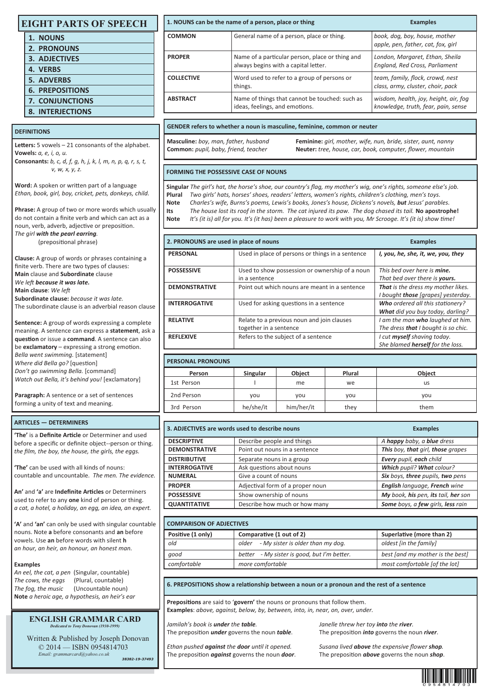|  |  |  |  | <b>EIGHT PARTS OF SPEECH</b> |
|--|--|--|--|------------------------------|
|--|--|--|--|------------------------------|

| 1. NOUNS                |
|-------------------------|
| 2. PRONOUNS             |
| <b>3. ADJECTIVES</b>    |
| <b>4. VERBS</b>         |
| <b>5. ADVERBS</b>       |
| <b>6. PREPOSITIONS</b>  |
| <b>7. CONJUNCTIONS</b>  |
| <b>8. INTERJECTIONS</b> |

# **DEFINITIONS**

Letters: 5 vowels - 21 consonants of the alphabet. **Vowels:** *a, e, i, o, u.* **Consonants:** *b, c, d, f, g, h, j, k, l, m, n, p, q, r, s, t,* 

 *v, w, x, y, z.*

Word: A spoken or written part of a language *Ethan, book, girl, boy, cricket, pets, donkeys, child.* 

**Phrase:** A group of two or more words which usually do not contain a finite verb and which can act as a noun, verb, adverb, adjective or preposition. *The girl with the pearl earring.* 

(prepositional phrase)

**Clause:** A group of words or phrases containing a finite verb. There are two types of clauses: **Main** clause and **Subordinate** clause **We left because it was late. Main clause:** We left

**Subordinate clause:** *because it was late.*  The subordinate clause is an adverbial reason clause

**Sentence:** A group of words expressing a complete meaning. A sentence can express a **statement**, ask a **question** or issue a **command**. A sentence can also be **exclamatory** – expressing a strong emotion. *Bella went swimming.* [statement] *Where did Bella ao?* [question] *Don't go swimming Bella.* [command] *Watch out Bella, it's behind you!* [exclamatory]

**Paragraph:** A sentence or a set of sentences forming a unity of text and meaning.

### **ARTICLES — DETERMINERS**

'The' is a Definite Article or Determiner and used before a specific or definite object--person or thing. *the film, the boy, the house, the girls, the eggs.* 

**'The'** can be used with all kinds of nouns: countable and uncountable. *The men. The evidence.* 

**An'** and **'a'** are **Indefinite Arcles** or Determiners used to refer to any **one** kind of person or thing. *a cat, a hotel, a holiday, an egg, an idea, an expert.* 

**'A'** and **'an'** can only be used with singular countable nouns. Note **a** before consonants and **an** before vowels. Use **an** before words with silent **h**  *an hour, an heir, an honour, an honest man.* 

### **Examples**

*An eel, the cat, a pen* (Singular, countable) *The cows, the eggs* (Plural, countable) *The fog, the music* (Uncountable noun) **Note** *a heroic age, a hypothesis, an heir's ear* 

#### **ENGLISH GRAMMAR CARD** *Dedicated to Tony Donovan (1930-1999)*

 Written & Published by Joseph Donovan © 2014 — ISBN 0954814703 *Email: grammarcard@yahoo.co.uk* 

*38382-19-37493*

# **1. NOUNS can be the name of a person, place or thing <b>Examples Examples**

| <b>COMMON</b>     | General name of a person, place or thing.                                               | book, dog, boy, house, mother<br>apple, pen, father, cat, fox, girl          |
|-------------------|-----------------------------------------------------------------------------------------|------------------------------------------------------------------------------|
| <b>PROPER</b>     | Name of a particular person, place or thing and<br>always begins with a capital letter. | London, Margaret, Ethan, Sheila<br>England, Red Cross, Parliament            |
| <b>COLLECTIVE</b> | Word used to refer to a group of persons or<br>things.                                  | team, family, flock, crowd, nest<br>class, army, cluster, choir, pack        |
| <b>ABSTRACT</b>   | Name of things that cannot be touched: such as<br>ideas, feelings, and emotions.        | wisdom, health, joy, height, air, fog<br>knowledge, truth, fear, pain, sense |

### **GENDER refers to whether a noun is masculine, feminine, common or neuter**

**Masculine:** *boy, man, father, husband* **Feminine:** *girl, mother, wife, nun, bride, sister, aunt, nanny*  **Common:** *pupil, baby, friend, teacher* **Neuter:** *tree, house, car, book, computer, flower, mountain*

### **FORMING THE POSSESSIVE CASE OF NOUNS**

**Singular** *The girl's hat, the horse's shoe, our country's flag, my mother's wig, one's rights, someone else's job.*  Plural *Two girls' hats, horses' shoes, readers' letters, women's rights, children's clothing, men's toys.* **Note** *Charles's wife, Burns's poems, Lewis's books, Jones's house, Dickens's novels, but Jesus' parables.*  **Its** *The house lost its roof in the storm. The cat injured its paw. The dog chased its tail.* **No apostrophe! Note** *It's (it is) all for you. It's (it has) been a pleasure to work with you, Mr Scrooge. It's (it is) show time!* 

| 2. PRONOUNS are used in place of nouns |                                                                 | <b>Examples</b>                     |  |  |  |  |
|----------------------------------------|-----------------------------------------------------------------|-------------------------------------|--|--|--|--|
| <b>PERSONAL</b>                        | Used in place of persons or things in a sentence                | I, you, he, she, it, we, you, they  |  |  |  |  |
| <b>POSSESSIVE</b>                      | Used to show possession or ownership of a noun<br>in a sentence | This bed over here is mine.         |  |  |  |  |
|                                        |                                                                 | That bed over there is yours.       |  |  |  |  |
| <b>DEMONSTRATIVE</b>                   | Point out which nouns are meant in a sentence                   | That is the dress my mother likes.  |  |  |  |  |
|                                        |                                                                 | I bought those [grapes] yesterday.  |  |  |  |  |
| <b>INTERROGATIVE</b>                   | Used for asking questions in a sentence                         | Who ordered all this stationery?    |  |  |  |  |
|                                        |                                                                 | What did you buy today, darling?    |  |  |  |  |
| <b>RELATIVE</b>                        | Relate to a previous noun and join clauses                      | I am the man who laughed at him.    |  |  |  |  |
|                                        | together in a sentence                                          | The dress that I bought is so chic. |  |  |  |  |
| <b>REFLEXIVE</b>                       | Refers to the subject of a sentence                             | I cut myself shaving today.         |  |  |  |  |
|                                        |                                                                 | She blamed herself for the loss.    |  |  |  |  |

## **PERSONAL PRONOUNS**

| Person            | <b>Singular</b> |            | Plural | <b>Object</b> |  |  |  |  |
|-------------------|-----------------|------------|--------|---------------|--|--|--|--|
| 1st Person        |                 | me         | we     | us            |  |  |  |  |
| 2nd Person<br>vou |                 | you        | you    | you           |  |  |  |  |
| 3rd Person        | he/she/it       | him/her/it | they   | them          |  |  |  |  |

| 3. ADJECTIVES are words used to describe nouns | <b>Examples</b>                                                   |                                   |  |  |  |  |
|------------------------------------------------|-------------------------------------------------------------------|-----------------------------------|--|--|--|--|
| <b>DESCRIPTIVE</b>                             | Describe people and things                                        | A happy baby, a blue dress        |  |  |  |  |
| <b>DEMONSTRATIVE</b>                           | Point out nouns in a sentence                                     | This boy, that girl, those grapes |  |  |  |  |
| <b>DISTRIBUTIVE</b>                            | Separate nouns in a group                                         | Every pupil, each child           |  |  |  |  |
| <b>INTERROGATIVE</b>                           | Ask questions about nouns                                         | Which pupil? What colour?         |  |  |  |  |
| <b>NUMERAL</b>                                 | Give a count of nouns                                             | Six boys, three pupils, two pens  |  |  |  |  |
| <b>PROPER</b>                                  | English language, French wine<br>Adjectival form of a proper noun |                                   |  |  |  |  |
| <b>POSSESSIVE</b>                              | Show ownership of nouns<br>My book, his pen, its tail, her son    |                                   |  |  |  |  |
| <b>QUANTITATIVE</b>                            | Describe how much or how many                                     | Some boys, a few girls, less rain |  |  |  |  |

# **COMPARISON OF ADJECTIVES**

| <b>CUIVIPARISUN UF ADJECTIVES</b> |                                             |                                  |  |  |  |  |  |  |
|-----------------------------------|---------------------------------------------|----------------------------------|--|--|--|--|--|--|
| Positive (1 only)                 | Comparative (1 out of 2)                    | Superlative (more than 2)        |  |  |  |  |  |  |
| old                               | - My sister is older than my dog.<br>older  | oldest [in the family]           |  |  |  |  |  |  |
| good                              | better - My sister is good, but I'm better. | best [and my mother is the best] |  |  |  |  |  |  |
| comfortable                       | more comfortable                            | most comfortable [of the lot]    |  |  |  |  |  |  |
|                                   |                                             |                                  |  |  |  |  |  |  |

6. PREPOSITIONS show a relationship between a noun or a pronoun and the rest of a sentence

Prepositions are said to 'govern' the nouns or pronouns that follow them. **Examples**: *above, against, below, by, between, into, in, near, on, over, under.*

*Jamilah's book is under the table. Janelle threw her toy into the river.*  The preposition *under* governs the noun *table*. The preposition *into* governs the noun *river*.

*Ethan pushed against the door unl it opened. Susana lived above the expensive flower shop.* The preposition *against* governs the noun *door*. The preposition *above* governs the noun *shop*.